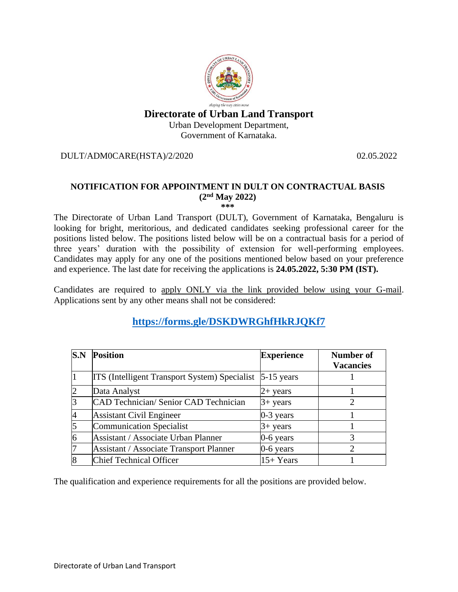# **Directorate of Urban Land Transport** Urban Development Department, Government of Karnataka.

DULT/ADM0CARE(HSTA)/2/2020 02.05.2022

# **NOTIFICATION FOR APPOINTMENT IN DULT ON CONTRACTUAL BASIS (2nd May 2022)**

**\*\*\***

The Directorate of Urban Land Transport (DULT), Government of Karnataka, Bengaluru is looking for bright, meritorious, and dedicated candidates seeking professional career for the positions listed below. The positions listed below will be on a contractual basis for a period of three years' duration with the possibility of extension for well-performing employees. Candidates may apply for any one of the positions mentioned below based on your preference and experience. The last date for receiving the applications is **24.05.2022, 5:30 PM (IST).**

Candidates are required to apply ONLY via the link provided below using your G-mail. Applications sent by any other means shall not be considered:

# **https://forms.gle/DSKDWRGhfHkRJQKf7**

| S.N | <b>Position</b>                                                 | <b>Experience</b> | <b>Number of</b><br><b>Vacancies</b> |
|-----|-----------------------------------------------------------------|-------------------|--------------------------------------|
|     | <b>ITS</b> (Intelligent Transport System) Specialist 5-15 years |                   |                                      |
|     | Data Analyst                                                    | $2+$ years        |                                      |
|     | <b>CAD Technician/ Senior CAD Technician</b>                    | $3+$ years        | 2                                    |
|     | <b>Assistant Civil Engineer</b>                                 | 0-3 years         |                                      |
|     | <b>Communication Specialist</b>                                 | $3+$ years        |                                      |
|     | Assistant / Associate Urban Planner                             | $0-6$ years       | 3                                    |
|     | <b>Assistant / Associate Transport Planner</b>                  | 0-6 years         | റ                                    |
|     | <b>Chief Technical Officer</b>                                  | $15+Years$        |                                      |

The qualification and experience requirements for all the positions are provided below.

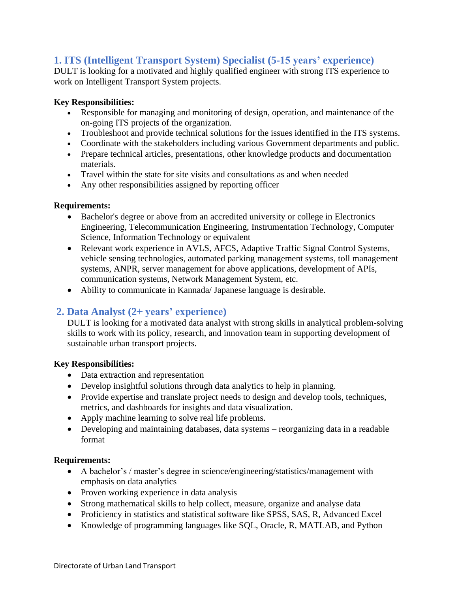# **1. ITS (Intelligent Transport System) Specialist (5-15 years' experience)**

DULT is looking for a motivated and highly qualified engineer with strong ITS experience to work on Intelligent Transport System projects.

## **Key Responsibilities:**

- Responsible for managing and monitoring of design, operation, and maintenance of the on-going ITS projects of the organization.
- Troubleshoot and provide technical solutions for the issues identified in the ITS systems.
- Coordinate with the stakeholders including various Government departments and public.
- Prepare technical articles, presentations, other knowledge products and documentation materials.
- Travel within the state for site visits and consultations as and when needed
- Any other responsibilities assigned by reporting officer

#### **Requirements:**

- Bachelor's degree or above from an accredited university or college in Electronics Engineering, Telecommunication Engineering, Instrumentation Technology, Computer Science, Information Technology or equivalent
- Relevant work experience in AVLS, AFCS, Adaptive Traffic Signal Control Systems, vehicle sensing technologies, automated parking management systems, toll management systems, ANPR, server management for above applications, development of APIs, communication systems, Network Management System, etc.
- Ability to communicate in Kannada/ Japanese language is desirable.

# **2. Data Analyst (2+ years' experience)**

DULT is looking for a motivated data analyst with strong skills in analytical problem-solving skills to work with its policy, research, and innovation team in supporting development of sustainable urban transport projects.

#### **Key Responsibilities:**

- Data extraction and representation
- Develop insightful solutions through data analytics to help in planning.
- Provide expertise and translate project needs to design and develop tools, techniques, metrics, and dashboards for insights and data visualization.
- Apply machine learning to solve real life problems.
- Developing and maintaining databases, data systems reorganizing data in a readable format

#### **Requirements:**

- A bachelor's / master's degree in science/engineering/statistics/management with emphasis on data analytics
- Proven working experience in data analysis
- Strong mathematical skills to help collect, measure, organize and analyse data
- Proficiency in statistics and statistical software like SPSS, SAS, R, Advanced Excel
- Knowledge of programming languages like SQL, Oracle, R, MATLAB, and Python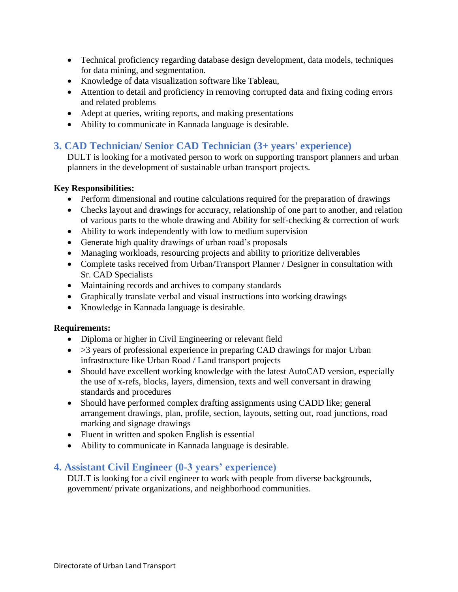- Technical proficiency regarding database design development, data models, techniques for data mining, and segmentation.
- Knowledge of data visualization software like Tableau,
- Attention to detail and proficiency in removing corrupted data and fixing coding errors and related problems
- Adept at queries, writing reports, and making presentations
- Ability to communicate in Kannada language is desirable.

# **3. CAD Technician/ Senior CAD Technician (3+ years' experience)**

DULT is looking for a motivated person to work on supporting transport planners and urban planners in the development of sustainable urban transport projects.

## **Key Responsibilities:**

- Perform dimensional and routine calculations required for the preparation of drawings
- Checks layout and drawings for accuracy, relationship of one part to another, and relation of various parts to the whole drawing and Ability for self-checking & correction of work
- Ability to work independently with low to medium supervision
- Generate high quality drawings of urban road's proposals
- Managing workloads, resourcing projects and ability to prioritize deliverables
- Complete tasks received from Urban/Transport Planner / Designer in consultation with Sr. CAD Specialists
- Maintaining records and archives to company standards
- Graphically translate verbal and visual instructions into working drawings
- Knowledge in Kannada language is desirable.

## **Requirements:**

- Diploma or higher in Civil Engineering or relevant field
- $>3$  years of professional experience in preparing CAD drawings for major Urban infrastructure like Urban Road / Land transport projects
- Should have excellent working knowledge with the latest AutoCAD version, especially the use of x-refs, blocks, layers, dimension, texts and well conversant in drawing standards and procedures
- Should have performed complex drafting assignments using CADD like; general arrangement drawings, plan, profile, section, layouts, setting out, road junctions, road marking and signage drawings
- Fluent in written and spoken English is essential
- Ability to communicate in Kannada language is desirable.

# **4. Assistant Civil Engineer (0-3 years' experience)**

DULT is looking for a civil engineer to work with people from diverse backgrounds, government/ private organizations, and neighborhood communities.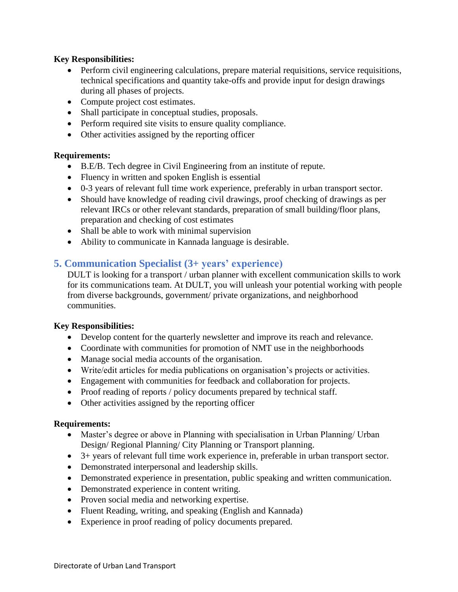## **Key Responsibilities:**

- Perform civil engineering calculations, prepare material requisitions, service requisitions, technical specifications and quantity take-offs and provide input for design drawings during all phases of projects.
- Compute project cost estimates.
- Shall participate in conceptual studies, proposals.
- Perform required site visits to ensure quality compliance.
- Other activities assigned by the reporting officer

#### **Requirements:**

- B.E/B. Tech degree in Civil Engineering from an institute of repute.
- Fluency in written and spoken English is essential
- 0-3 years of relevant full time work experience, preferably in urban transport sector.
- Should have knowledge of reading civil drawings, proof checking of drawings as per relevant IRCs or other relevant standards, preparation of small building/floor plans, preparation and checking of cost estimates
- Shall be able to work with minimal supervision
- Ability to communicate in Kannada language is desirable.

# **5. Communication Specialist (3+ years' experience)**

DULT is looking for a transport / urban planner with excellent communication skills to work for its communications team. At DULT, you will unleash your potential working with people from diverse backgrounds, government/ private organizations, and neighborhood communities.

#### **Key Responsibilities:**

- Develop content for the quarterly newsletter and improve its reach and relevance.
- Coordinate with communities for promotion of NMT use in the neighborhoods
- Manage social media accounts of the organisation.
- Write/edit articles for media publications on organisation's projects or activities.
- Engagement with communities for feedback and collaboration for projects.
- Proof reading of reports / policy documents prepared by technical staff.
- Other activities assigned by the reporting officer

#### **Requirements:**

- Master's degree or above in Planning with specialisation in Urban Planning/ Urban Design/ Regional Planning/ City Planning or Transport planning.
- 3+ years of relevant full time work experience in, preferable in urban transport sector.
- Demonstrated interpersonal and leadership skills.
- Demonstrated experience in presentation, public speaking and written communication.
- Demonstrated experience in content writing.
- Proven social media and networking expertise.
- Fluent Reading, writing, and speaking (English and Kannada)
- Experience in proof reading of policy documents prepared.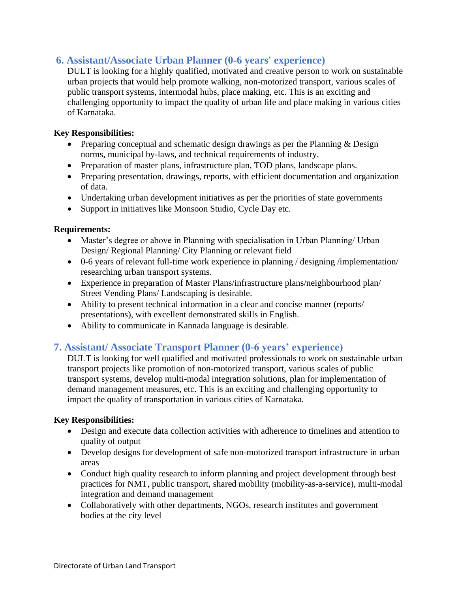# **6. Assistant/Associate Urban Planner (0-6 years' experience)**

DULT is looking for a highly qualified, motivated and creative person to work on sustainable urban projects that would help promote walking, non-motorized transport, various scales of public transport systems, intermodal hubs, place making, etc. This is an exciting and challenging opportunity to impact the quality of urban life and place making in various cities of Karnataka.

## **Key Responsibilities:**

- Preparing conceptual and schematic design drawings as per the Planning  $&$  Design norms, municipal by-laws, and technical requirements of industry.
- Preparation of master plans, infrastructure plan, TOD plans, landscape plans.
- Preparing presentation, drawings, reports, with efficient documentation and organization of data.
- Undertaking urban development initiatives as per the priorities of state governments
- Support in initiatives like Monsoon Studio, Cycle Day etc.

## **Requirements:**

- Master's degree or above in Planning with specialisation in Urban Planning/ Urban Design/ Regional Planning/ City Planning or relevant field
- 0-6 years of relevant full-time work experience in planning / designing /implementation/ researching urban transport systems.
- Experience in preparation of Master Plans/infrastructure plans/neighbourhood plan/ Street Vending Plans/ Landscaping is desirable.
- Ability to present technical information in a clear and concise manner (reports/ presentations), with excellent demonstrated skills in English.
- Ability to communicate in Kannada language is desirable.

# **7. Assistant/ Associate Transport Planner (0-6 years' experience)**

DULT is looking for well qualified and motivated professionals to work on sustainable urban transport projects like promotion of non-motorized transport, various scales of public transport systems, develop multi-modal integration solutions, plan for implementation of demand management measures, etc. This is an exciting and challenging opportunity to impact the quality of transportation in various cities of Karnataka.

## **Key Responsibilities:**

- Design and execute data collection activities with adherence to timelines and attention to quality of output
- Develop designs for development of safe non-motorized transport infrastructure in urban areas
- Conduct high quality research to inform planning and project development through best practices for NMT, public transport, shared mobility (mobility-as-a-service), multi-modal integration and demand management
- Collaboratively with other departments, NGOs, research institutes and government bodies at the city level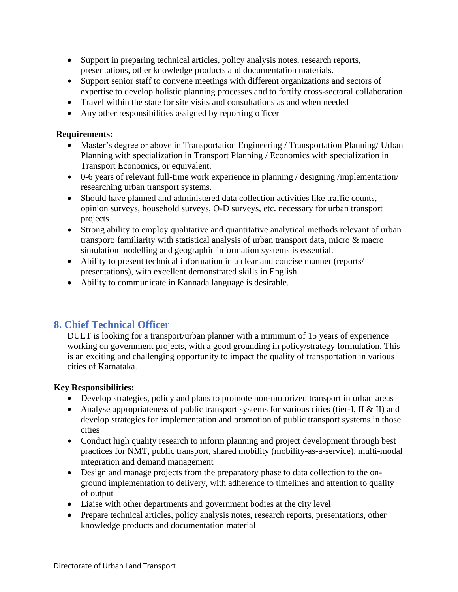- Support in preparing technical articles, policy analysis notes, research reports, presentations, other knowledge products and documentation materials.
- Support senior staff to convene meetings with different organizations and sectors of expertise to develop holistic planning processes and to fortify cross-sectoral collaboration
- Travel within the state for site visits and consultations as and when needed
- Any other responsibilities assigned by reporting officer

## **Requirements:**

- Master's degree or above in Transportation Engineering / Transportation Planning/ Urban Planning with specialization in Transport Planning / Economics with specialization in Transport Economics, or equivalent.
- 0-6 years of relevant full-time work experience in planning / designing /implementation/ researching urban transport systems.
- Should have planned and administered data collection activities like traffic counts, opinion surveys, household surveys, O-D surveys, etc. necessary for urban transport projects
- Strong ability to employ qualitative and quantitative analytical methods relevant of urban transport; familiarity with statistical analysis of urban transport data, micro & macro simulation modelling and geographic information systems is essential.
- Ability to present technical information in a clear and concise manner (reports/ presentations), with excellent demonstrated skills in English.
- Ability to communicate in Kannada language is desirable.

# **8. Chief Technical Officer**

DULT is looking for a transport/urban planner with a minimum of 15 years of experience working on government projects, with a good grounding in policy/strategy formulation. This is an exciting and challenging opportunity to impact the quality of transportation in various cities of Karnataka.

## **Key Responsibilities:**

- Develop strategies, policy and plans to promote non-motorized transport in urban areas
- Analyse appropriateness of public transport systems for various cities (tier-I, II & II) and develop strategies for implementation and promotion of public transport systems in those cities
- Conduct high quality research to inform planning and project development through best practices for NMT, public transport, shared mobility (mobility-as-a-service), multi-modal integration and demand management
- Design and manage projects from the preparatory phase to data collection to the onground implementation to delivery, with adherence to timelines and attention to quality of output
- Liaise with other departments and government bodies at the city level
- Prepare technical articles, policy analysis notes, research reports, presentations, other knowledge products and documentation material